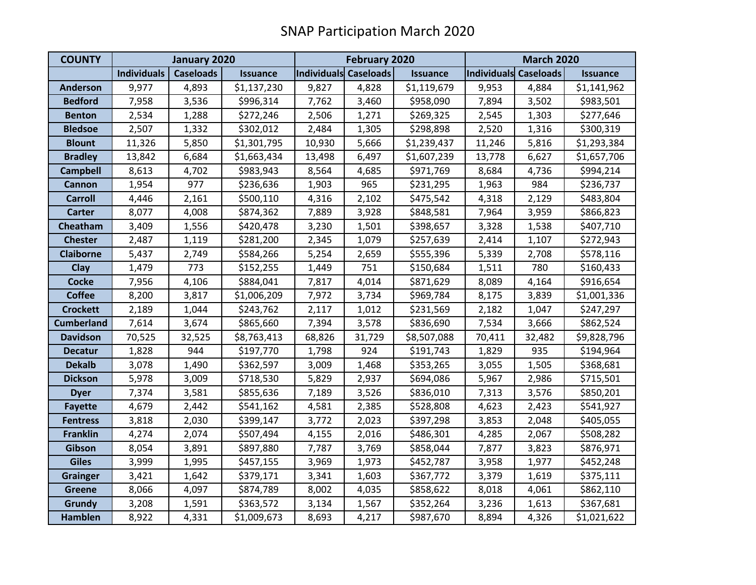| <b>COUNTY</b>     | January 2020       |                  |                 | <b>February 2020</b>         |        |                 | <b>March 2020</b>     |        |                 |
|-------------------|--------------------|------------------|-----------------|------------------------------|--------|-----------------|-----------------------|--------|-----------------|
|                   | <b>Individuals</b> | <b>Caseloads</b> | <b>Issuance</b> | <b>Individuals Caseloads</b> |        | <b>Issuance</b> | Individuals Caseloads |        | <b>Issuance</b> |
| <b>Anderson</b>   | 9,977              | 4,893            | \$1,137,230     | 9,827                        | 4,828  | \$1,119,679     | 9,953                 | 4,884  | \$1,141,962     |
| <b>Bedford</b>    | 7,958              | 3,536            | \$996,314       | 7,762                        | 3,460  | \$958,090       | 7,894                 | 3,502  | \$983,501       |
| <b>Benton</b>     | 2,534              | 1,288            | \$272,246       | 2,506                        | 1,271  | \$269,325       | 2,545                 | 1,303  | \$277,646       |
| <b>Bledsoe</b>    | 2,507              | 1,332            | \$302,012       | 2,484                        | 1,305  | \$298,898       | 2,520                 | 1,316  | \$300,319       |
| <b>Blount</b>     | 11,326             | 5,850            | \$1,301,795     | 10,930                       | 5,666  | \$1,239,437     | 11,246                | 5,816  | \$1,293,384     |
| <b>Bradley</b>    | 13,842             | 6,684            | \$1,663,434     | 13,498                       | 6,497  | \$1,607,239     | 13,778                | 6,627  | \$1,657,706     |
| <b>Campbell</b>   | 8,613              | 4,702            | \$983,943       | 8,564                        | 4,685  | \$971,769       | 8,684                 | 4,736  | \$994,214       |
| <b>Cannon</b>     | 1,954              | 977              | \$236,636       | 1,903                        | 965    | \$231,295       | 1,963                 | 984    | \$236,737       |
| <b>Carroll</b>    | 4,446              | 2,161            | \$500,110       | 4,316                        | 2,102  | \$475,542       | 4,318                 | 2,129  | \$483,804       |
| <b>Carter</b>     | 8,077              | 4,008            | \$874,362       | 7,889                        | 3,928  | \$848,581       | 7,964                 | 3,959  | \$866,823       |
| Cheatham          | 3,409              | 1,556            | \$420,478       | 3,230                        | 1,501  | \$398,657       | 3,328                 | 1,538  | \$407,710       |
| <b>Chester</b>    | 2,487              | 1,119            | \$281,200       | 2,345                        | 1,079  | \$257,639       | 2,414                 | 1,107  | \$272,943       |
| <b>Claiborne</b>  | 5,437              | 2,749            | \$584,266       | 5,254                        | 2,659  | \$555,396       | 5,339                 | 2,708  | \$578,116       |
| Clay              | 1,479              | 773              | \$152,255       | 1,449                        | 751    | \$150,684       | 1,511                 | 780    | \$160,433       |
| <b>Cocke</b>      | 7,956              | 4,106            | \$884,041       | 7,817                        | 4,014  | \$871,629       | 8,089                 | 4,164  | \$916,654       |
| <b>Coffee</b>     | 8,200              | 3,817            | \$1,006,209     | 7,972                        | 3,734  | \$969,784       | 8,175                 | 3,839  | \$1,001,336     |
| <b>Crockett</b>   | 2,189              | 1,044            | \$243,762       | 2,117                        | 1,012  | \$231,569       | 2,182                 | 1,047  | \$247,297       |
| <b>Cumberland</b> | 7,614              | 3,674            | \$865,660       | 7,394                        | 3,578  | \$836,690       | 7,534                 | 3,666  | \$862,524       |
| <b>Davidson</b>   | 70,525             | 32,525           | \$8,763,413     | 68,826                       | 31,729 | \$8,507,088     | 70,411                | 32,482 | \$9,828,796     |
| <b>Decatur</b>    | 1,828              | 944              | \$197,770       | 1,798                        | 924    | \$191,743       | 1,829                 | 935    | \$194,964       |
| <b>Dekalb</b>     | 3,078              | 1,490            | \$362,597       | 3,009                        | 1,468  | \$353,265       | 3,055                 | 1,505  | \$368,681       |
| <b>Dickson</b>    | 5,978              | 3,009            | \$718,530       | 5,829                        | 2,937  | \$694,086       | 5,967                 | 2,986  | \$715,501       |
| <b>Dyer</b>       | 7,374              | 3,581            | \$855,636       | 7,189                        | 3,526  | \$836,010       | 7,313                 | 3,576  | \$850,201       |
| <b>Fayette</b>    | 4,679              | 2,442            | \$541,162       | 4,581                        | 2,385  | \$528,808       | 4,623                 | 2,423  | \$541,927       |
| <b>Fentress</b>   | 3,818              | 2,030            | \$399,147       | 3,772                        | 2,023  | \$397,298       | 3,853                 | 2,048  | \$405,055       |
| <b>Franklin</b>   | 4,274              | 2,074            | \$507,494       | 4,155                        | 2,016  | \$486,301       | 4,285                 | 2,067  | \$508,282       |
| Gibson            | 8,054              | 3,891            | \$897,880       | 7,787                        | 3,769  | \$858,044       | 7,877                 | 3,823  | \$876,971       |
| <b>Giles</b>      | 3,999              | 1,995            | \$457,155       | 3,969                        | 1,973  | \$452,787       | 3,958                 | 1,977  | \$452,248       |
| <b>Grainger</b>   | 3,421              | 1,642            | \$379,171       | 3,341                        | 1,603  | \$367,772       | 3,379                 | 1,619  | \$375,111       |
| <b>Greene</b>     | 8,066              | 4,097            | \$874,789       | 8,002                        | 4,035  | \$858,622       | 8,018                 | 4,061  | \$862,110       |
| Grundy            | 3,208              | 1,591            | \$363,572       | 3,134                        | 1,567  | \$352,264       | 3,236                 | 1,613  | \$367,681       |
| <b>Hamblen</b>    | 8,922              | 4,331            | \$1,009,673     | 8,693                        | 4,217  | \$987,670       | 8,894                 | 4,326  | \$1,021,622     |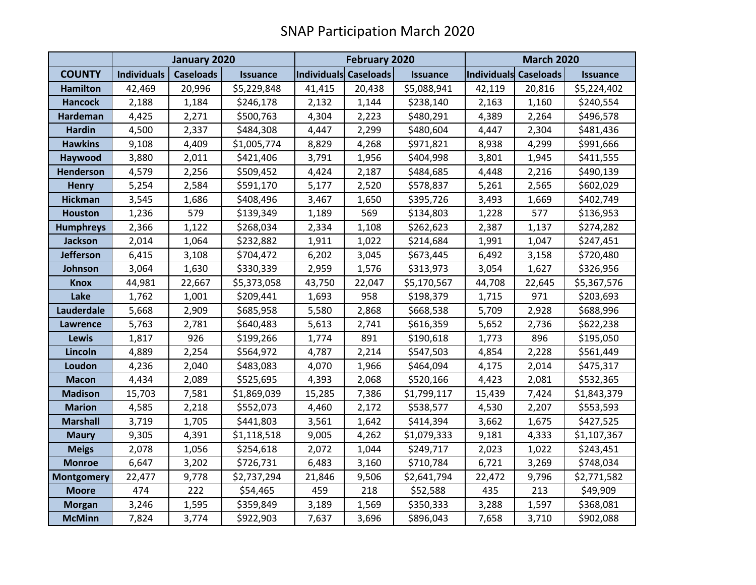|                   | January 2020       |                  |                 | <b>February 2020</b>  |        |                 | <b>March 2020</b>     |        |                 |
|-------------------|--------------------|------------------|-----------------|-----------------------|--------|-----------------|-----------------------|--------|-----------------|
| <b>COUNTY</b>     | <b>Individuals</b> | <b>Caseloads</b> | <b>Issuance</b> | Individuals Caseloads |        | <b>Issuance</b> | Individuals Caseloads |        | <b>Issuance</b> |
| <b>Hamilton</b>   | 42,469             | 20,996           | \$5,229,848     | 41,415                | 20,438 | \$5,088,941     | 42,119                | 20,816 | \$5,224,402     |
| <b>Hancock</b>    | 2,188              | 1,184            | \$246,178       | 2,132                 | 1,144  | \$238,140       | 2,163                 | 1,160  | \$240,554       |
| Hardeman          | 4,425              | 2,271            | \$500,763       | 4,304                 | 2,223  | \$480,291       | 4,389                 | 2,264  | \$496,578       |
| <b>Hardin</b>     | 4,500              | 2,337            | \$484,308       | 4,447                 | 2,299  | \$480,604       | 4,447                 | 2,304  | \$481,436       |
| <b>Hawkins</b>    | 9,108              | 4,409            | \$1,005,774     | 8,829                 | 4,268  | \$971,821       | 8,938                 | 4,299  | \$991,666       |
| Haywood           | 3,880              | 2,011            | \$421,406       | 3,791                 | 1,956  | \$404,998       | 3,801                 | 1,945  | \$411,555       |
| <b>Henderson</b>  | 4,579              | 2,256            | \$509,452       | 4,424                 | 2,187  | \$484,685       | 4,448                 | 2,216  | \$490,139       |
| <b>Henry</b>      | 5,254              | 2,584            | \$591,170       | 5,177                 | 2,520  | \$578,837       | 5,261                 | 2,565  | \$602,029       |
| <b>Hickman</b>    | 3,545              | 1,686            | \$408,496       | 3,467                 | 1,650  | \$395,726       | 3,493                 | 1,669  | \$402,749       |
| <b>Houston</b>    | 1,236              | 579              | \$139,349       | 1,189                 | 569    | \$134,803       | 1,228                 | 577    | \$136,953       |
| <b>Humphreys</b>  | 2,366              | 1,122            | \$268,034       | 2,334                 | 1,108  | \$262,623       | 2,387                 | 1,137  | \$274,282       |
| <b>Jackson</b>    | 2,014              | 1,064            | \$232,882       | 1,911                 | 1,022  | \$214,684       | 1,991                 | 1,047  | \$247,451       |
| <b>Jefferson</b>  | 6,415              | 3,108            | \$704,472       | 6,202                 | 3,045  | \$673,445       | 6,492                 | 3,158  | \$720,480       |
| Johnson           | 3,064              | 1,630            | \$330,339       | 2,959                 | 1,576  | \$313,973       | 3,054                 | 1,627  | \$326,956       |
| <b>Knox</b>       | 44,981             | 22,667           | \$5,373,058     | 43,750                | 22,047 | \$5,170,567     | 44,708                | 22,645 | \$5,367,576     |
| Lake              | 1,762              | 1,001            | \$209,441       | 1,693                 | 958    | \$198,379       | 1,715                 | 971    | \$203,693       |
| Lauderdale        | 5,668              | 2,909            | \$685,958       | 5,580                 | 2,868  | \$668,538       | 5,709                 | 2,928  | \$688,996       |
| <b>Lawrence</b>   | 5,763              | 2,781            | \$640,483       | 5,613                 | 2,741  | \$616,359       | 5,652                 | 2,736  | \$622,238       |
| <b>Lewis</b>      | 1,817              | 926              | \$199,266       | 1,774                 | 891    | \$190,618       | 1,773                 | 896    | \$195,050       |
| Lincoln           | 4,889              | 2,254            | \$564,972       | 4,787                 | 2,214  | \$547,503       | 4,854                 | 2,228  | \$561,449       |
| Loudon            | 4,236              | 2,040            | \$483,083       | 4,070                 | 1,966  | \$464,094       | 4,175                 | 2,014  | \$475,317       |
| <b>Macon</b>      | 4,434              | 2,089            | \$525,695       | 4,393                 | 2,068  | \$520,166       | 4,423                 | 2,081  | \$532,365       |
| <b>Madison</b>    | 15,703             | 7,581            | \$1,869,039     | 15,285                | 7,386  | \$1,799,117     | 15,439                | 7,424  | \$1,843,379     |
| <b>Marion</b>     | 4,585              | 2,218            | \$552,073       | 4,460                 | 2,172  | \$538,577       | 4,530                 | 2,207  | \$553,593       |
| <b>Marshall</b>   | 3,719              | 1,705            | \$441,803       | 3,561                 | 1,642  | \$414,394       | 3,662                 | 1,675  | \$427,525       |
| <b>Maury</b>      | 9,305              | 4,391            | \$1,118,518     | 9,005                 | 4,262  | \$1,079,333     | 9,181                 | 4,333  | \$1,107,367     |
| <b>Meigs</b>      | 2,078              | 1,056            | \$254,618       | 2,072                 | 1,044  | \$249,717       | 2,023                 | 1,022  | \$243,451       |
| <b>Monroe</b>     | 6,647              | 3,202            | \$726,731       | 6,483                 | 3,160  | \$710,784       | 6,721                 | 3,269  | \$748,034       |
| <b>Montgomery</b> | 22,477             | 9,778            | \$2,737,294     | 21,846                | 9,506  | \$2,641,794     | 22,472                | 9,796  | \$2,771,582     |
| <b>Moore</b>      | 474                | 222              | \$54,465        | 459                   | 218    | \$52,588        | 435                   | 213    | \$49,909        |
| <b>Morgan</b>     | 3,246              | 1,595            | \$359,849       | 3,189                 | 1,569  | \$350,333       | 3,288                 | 1,597  | \$368,081       |
| <b>McMinn</b>     | 7,824              | 3,774            | \$922,903       | 7,637                 | 3,696  | \$896,043       | 7,658                 | 3,710  | \$902,088       |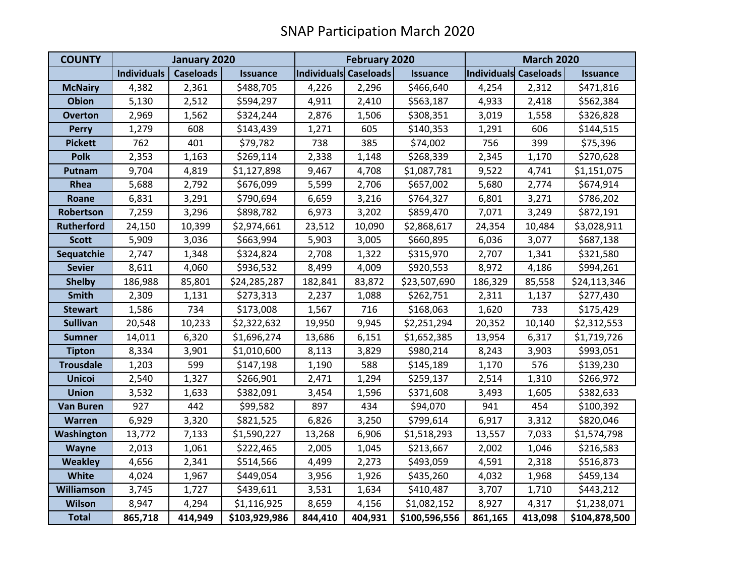| <b>COUNTY</b>     | January 2020       |                  |                 | <b>February 2020</b>  |         |                 | <b>March 2020</b>     |         |                 |
|-------------------|--------------------|------------------|-----------------|-----------------------|---------|-----------------|-----------------------|---------|-----------------|
|                   | <b>Individuals</b> | <b>Caseloads</b> | <b>Issuance</b> | Individuals Caseloads |         | <b>Issuance</b> | Individuals Caseloads |         | <b>Issuance</b> |
| <b>McNairy</b>    | 4,382              | 2,361            | \$488,705       | 4,226                 | 2,296   | \$466,640       | 4,254                 | 2,312   | \$471,816       |
| <b>Obion</b>      | 5,130              | 2,512            | \$594,297       | 4,911                 | 2,410   | \$563,187       | 4,933                 | 2,418   | \$562,384       |
| <b>Overton</b>    | 2,969              | 1,562            | \$324,244       | 2,876                 | 1,506   | \$308,351       | 3,019                 | 1,558   | \$326,828       |
| <b>Perry</b>      | 1,279              | 608              | \$143,439       | 1,271                 | 605     | \$140,353       | 1,291                 | 606     | \$144,515       |
| <b>Pickett</b>    | 762                | 401              | \$79,782        | 738                   | 385     | \$74,002        | 756                   | 399     | \$75,396        |
| <b>Polk</b>       | 2,353              | 1,163            | \$269,114       | 2,338                 | 1,148   | \$268,339       | 2,345                 | 1,170   | \$270,628       |
| Putnam            | 9,704              | 4,819            | \$1,127,898     | 9,467                 | 4,708   | \$1,087,781     | 9,522                 | 4,741   | \$1,151,075     |
| Rhea              | 5,688              | 2,792            | \$676,099       | 5,599                 | 2,706   | \$657,002       | 5,680                 | 2,774   | \$674,914       |
| Roane             | 6,831              | 3,291            | \$790,694       | 6,659                 | 3,216   | \$764,327       | 6,801                 | 3,271   | \$786,202       |
| Robertson         | 7,259              | 3,296            | \$898,782       | 6,973                 | 3,202   | \$859,470       | 7,071                 | 3,249   | \$872,191       |
| <b>Rutherford</b> | 24,150             | 10,399           | \$2,974,661     | 23,512                | 10,090  | \$2,868,617     | 24,354                | 10,484  | \$3,028,911     |
| <b>Scott</b>      | 5,909              | 3,036            | \$663,994       | 5,903                 | 3,005   | \$660,895       | 6,036                 | 3,077   | \$687,138       |
| Sequatchie        | 2,747              | 1,348            | \$324,824       | 2,708                 | 1,322   | \$315,970       | 2,707                 | 1,341   | \$321,580       |
| <b>Sevier</b>     | 8,611              | 4,060            | \$936,532       | 8,499                 | 4,009   | \$920,553       | 8,972                 | 4,186   | \$994,261       |
| <b>Shelby</b>     | 186,988            | 85,801           | \$24,285,287    | 182,841               | 83,872  | \$23,507,690    | 186,329               | 85,558  | \$24,113,346    |
| <b>Smith</b>      | 2,309              | 1,131            | \$273,313       | 2,237                 | 1,088   | \$262,751       | 2,311                 | 1,137   | \$277,430       |
| <b>Stewart</b>    | 1,586              | 734              | \$173,008       | 1,567                 | 716     | \$168,063       | 1,620                 | 733     | \$175,429       |
| <b>Sullivan</b>   | 20,548             | 10,233           | \$2,322,632     | 19,950                | 9,945   | \$2,251,294     | 20,352                | 10,140  | \$2,312,553     |
| <b>Sumner</b>     | 14,011             | 6,320            | \$1,696,274     | 13,686                | 6,151   | \$1,652,385     | 13,954                | 6,317   | \$1,719,726     |
| <b>Tipton</b>     | 8,334              | 3,901            | \$1,010,600     | 8,113                 | 3,829   | \$980,214       | 8,243                 | 3,903   | \$993,051       |
| <b>Trousdale</b>  | 1,203              | 599              | \$147,198       | 1,190                 | 588     | \$145,189       | 1,170                 | 576     | \$139,230       |
| <b>Unicoi</b>     | 2,540              | 1,327            | \$266,901       | 2,471                 | 1,294   | \$259,137       | 2,514                 | 1,310   | \$266,972       |
| <b>Union</b>      | 3,532              | 1,633            | \$382,091       | 3,454                 | 1,596   | \$371,608       | 3,493                 | 1,605   | \$382,633       |
| <b>Van Buren</b>  | 927                | 442              | \$99,582        | 897                   | 434     | \$94,070        | 941                   | 454     | \$100,392       |
| Warren            | 6,929              | 3,320            | \$821,525       | 6,826                 | 3,250   | \$799,614       | 6,917                 | 3,312   | \$820,046       |
| Washington        | 13,772             | 7,133            | \$1,590,227     | 13,268                | 6,906   | \$1,518,293     | 13,557                | 7,033   | \$1,574,798     |
| Wayne             | 2,013              | 1,061            | \$222,465       | 2,005                 | 1,045   | \$213,667       | 2,002                 | 1,046   | \$216,583       |
| <b>Weakley</b>    | 4,656              | 2,341            | \$514,566       | 4,499                 | 2,273   | \$493,059       | 4,591                 | 2,318   | \$516,873       |
| White             | 4,024              | 1,967            | \$449,054       | 3,956                 | 1,926   | \$435,260       | 4,032                 | 1,968   | \$459,134       |
| Williamson        | 3,745              | 1,727            | \$439,611       | 3,531                 | 1,634   | \$410,487       | 3,707                 | 1,710   | \$443,212       |
| <b>Wilson</b>     | 8,947              | 4,294            | \$1,116,925     | 8,659                 | 4,156   | \$1,082,152     | 8,927                 | 4,317   | \$1,238,071     |
| <b>Total</b>      | 865,718            | 414,949          | \$103,929,986   | 844,410               | 404,931 | \$100,596,556   | 861,165               | 413,098 | \$104,878,500   |